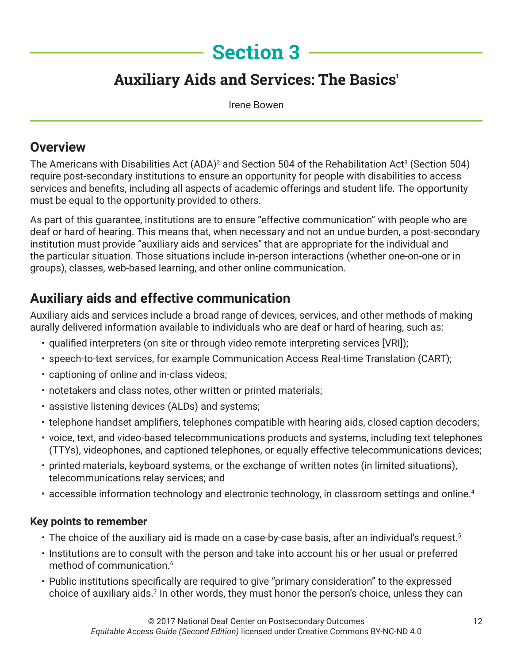# **Section 3**

## **Auxiliary Aids and Services: The Basics'**

Irene Bowen

### **Overview**

The Americans with Disabilities Act (ADA)<sup>2</sup> and Section 504 of the Rehabilitation Act<sup>3</sup> (Section 504) require post-secondary institutions to ensure an opportunity for people with disabilities to access services and benefits, including all aspects of academic offerings and student life. The opportunity must be equal to the opportunity provided to others.

As part of this guarantee, institutions are to ensure "effective communication" with people who are deaf or hard of hearing. This means that, when necessary and not an undue burden, a post-secondary institution must provide "auxiliary aids and services" that are appropriate for the individual and the particular situation. Those situations include in-person interactions (whether one-on-one or in groups), classes, web-based learning, and other online communication.

## **Auxiliary aids and effective communication**

Auxiliary aids and services include a broad range of devices, services, and other methods of making aurally delivered information available to individuals who are deaf or hard of hearing, such as:

- qualified interpreters (on site or through video remote interpreting services [VRI]);
- speech-to-text services, for example Communication Access Real-time Translation (CART);
- captioning of online and in-class videos;
- notetakers and class notes, other written or printed materials;
- assistive listening devices (ALDs) and systems;
- telephone handset amplifiers, telephones compatible with hearing aids, closed caption decoders;
- voice, text, and video-based telecommunications products and systems, including text telephones (TTYs), videophones, and captioned telephones, or equally effective telecommunications devices;
- printed materials, keyboard systems, or the exchange of written notes (in limited situations), telecommunications relay services; and
- accessible information technology and electronic technology, in classroom settings and online.<sup>4</sup>

#### **Key points to remember**

- The choice of the auxiliary aid is made on a case-by-case basis, after an individual's request.<sup>5</sup>
- Institutions are to consult with the person and take into account his or her usual or preferred method of communication.<sup>6</sup>
- Public institutions specifically are required to give "primary consideration" to the expressed choice of auxiliary aids.<sup>7</sup> In other words, they must honor the person's choice, unless they can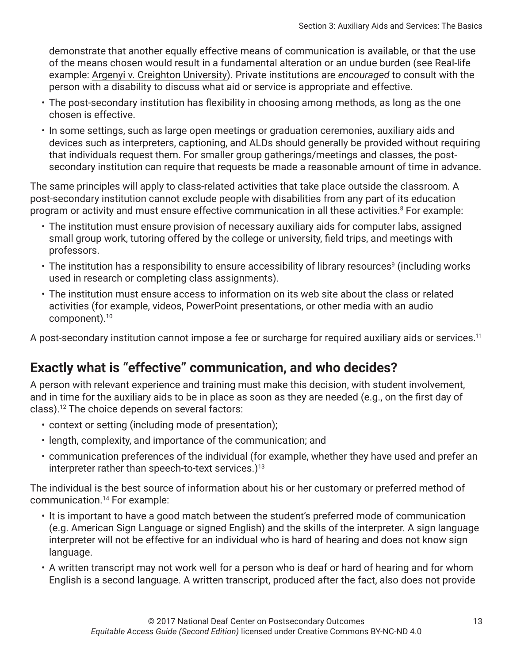demonstrate that another equally effective means of communication is available, or that the use of the means chosen would result in a fundamental alteration or an undue burden (see Real-life example: Argenyi v. Creighton University). Private institutions are *encouraged* to consult with the person with a disability to discuss what aid or service is appropriate and effective.

- The post-secondary institution has flexibility in choosing among methods, as long as the one chosen is effective.
- In some settings, such as large open meetings or graduation ceremonies, auxiliary aids and devices such as interpreters, captioning, and ALDs should generally be provided without requiring that individuals request them. For smaller group gatherings/meetings and classes, the postsecondary institution can require that requests be made a reasonable amount of time in advance.

The same principles will apply to class-related activities that take place outside the classroom. A post-secondary institution cannot exclude people with disabilities from any part of its education program or activity and must ensure effective communication in all these activities. $8$  For example:

- The institution must ensure provision of necessary auxiliary aids for computer labs, assigned small group work, tutoring offered by the college or university, field trips, and meetings with professors.
- $\cdot$  The institution has a responsibility to ensure accessibility of library resources $^{\circ}$  (including works used in research or completing class assignments).
- The institution must ensure access to information on its web site about the class or related activities (for example, videos, PowerPoint presentations, or other media with an audio component).10

A post-secondary institution cannot impose a fee or surcharge for required auxiliary aids or services.11

## **Exactly what is "effective" communication, and who decides?**

A person with relevant experience and training must make this decision, with student involvement, and in time for the auxiliary aids to be in place as soon as they are needed (e.g., on the first day of class).12 The choice depends on several factors:

- context or setting (including mode of presentation);
- length, complexity, and importance of the communication; and
- communication preferences of the individual (for example, whether they have used and prefer an interpreter rather than speech-to-text services.)<sup>13</sup>

The individual is the best source of information about his or her customary or preferred method of communication.14 For example:

- It is important to have a good match between the student's preferred mode of communication (e.g. American Sign Language or signed English) and the skills of the interpreter. A sign language interpreter will not be effective for an individual who is hard of hearing and does not know sign language.
- A written transcript may not work well for a person who is deaf or hard of hearing and for whom English is a second language. A written transcript, produced after the fact, also does not provide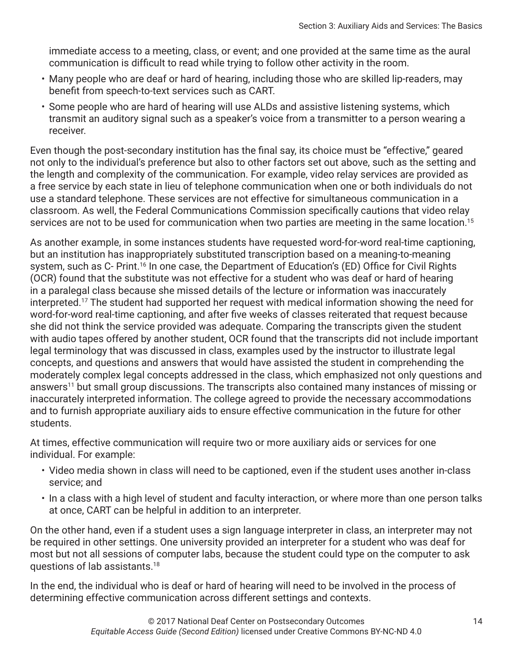immediate access to a meeting, class, or event; and one provided at the same time as the aural communication is difficult to read while trying to follow other activity in the room.

- Many people who are deaf or hard of hearing, including those who are skilled lip-readers, may benefit from speech-to-text services such as CART.
- Some people who are hard of hearing will use ALDs and assistive listening systems, which transmit an auditory signal such as a speaker's voice from a transmitter to a person wearing a receiver.

Even though the post-secondary institution has the final say, its choice must be "effective," geared not only to the individual's preference but also to other factors set out above, such as the setting and the length and complexity of the communication. For example, video relay services are provided as a free service by each state in lieu of telephone communication when one or both individuals do not use a standard telephone. These services are not effective for simultaneous communication in a classroom. As well, the Federal Communications Commission specifically cautions that video relay services are not to be used for communication when two parties are meeting in the same location.<sup>15</sup>

As another example, in some instances students have requested word-for-word real-time captioning, but an institution has inappropriately substituted transcription based on a meaning-to-meaning system, such as C- Print.<sup>16</sup> In one case, the Department of Education's (ED) Office for Civil Rights (OCR) found that the substitute was not effective for a student who was deaf or hard of hearing in a paralegal class because she missed details of the lecture or information was inaccurately interpreted.17 The student had supported her request with medical information showing the need for word-for-word real-time captioning, and after five weeks of classes reiterated that request because she did not think the service provided was adequate. Comparing the transcripts given the student with audio tapes offered by another student, OCR found that the transcripts did not include important legal terminology that was discussed in class, examples used by the instructor to illustrate legal concepts, and questions and answers that would have assisted the student in comprehending the moderately complex legal concepts addressed in the class, which emphasized not only questions and answers<sup>11</sup> but small group discussions. The transcripts also contained many instances of missing or inaccurately interpreted information. The college agreed to provide the necessary accommodations and to furnish appropriate auxiliary aids to ensure effective communication in the future for other students.

At times, effective communication will require two or more auxiliary aids or services for one individual. For example:

- Video media shown in class will need to be captioned, even if the student uses another in-class service; and
- In a class with a high level of student and faculty interaction, or where more than one person talks at once, CART can be helpful in addition to an interpreter.

On the other hand, even if a student uses a sign language interpreter in class, an interpreter may not be required in other settings. One university provided an interpreter for a student who was deaf for most but not all sessions of computer labs, because the student could type on the computer to ask questions of lab assistants.18

In the end, the individual who is deaf or hard of hearing will need to be involved in the process of determining effective communication across different settings and contexts.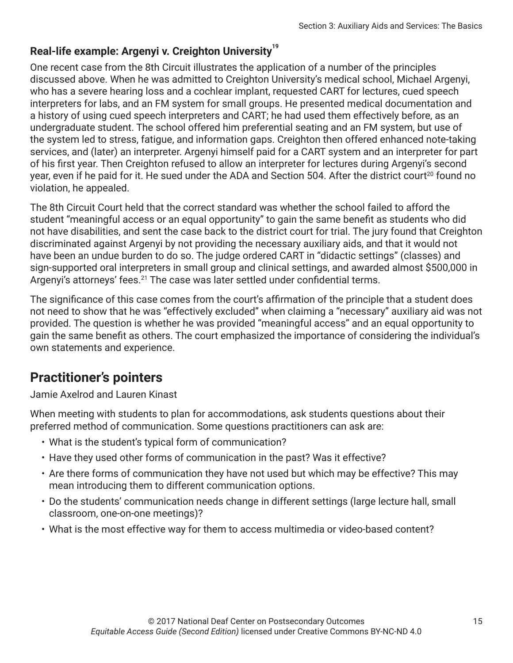#### Real-life example: Argenyi v. Creighton University<sup>19</sup>

One recent case from the 8th Circuit illustrates the application of a number of the principles discussed above. When he was admitted to Creighton University's medical school, Michael Argenyi, who has a severe hearing loss and a cochlear implant, requested CART for lectures, cued speech interpreters for labs, and an FM system for small groups. He presented medical documentation and a history of using cued speech interpreters and CART; he had used them effectively before, as an undergraduate student. The school offered him preferential seating and an FM system, but use of the system led to stress, fatigue, and information gaps. Creighton then offered enhanced note-taking services, and (later) an interpreter. Argenyi himself paid for a CART system and an interpreter for part of his first year. Then Creighton refused to allow an interpreter for lectures during Argenyi's second year, even if he paid for it. He sued under the ADA and Section 504. After the district court<sup>20</sup> found no violation, he appealed.

The 8th Circuit Court held that the correct standard was whether the school failed to afford the student "meaningful access or an equal opportunity" to gain the same benefit as students who did not have disabilities, and sent the case back to the district court for trial. The jury found that Creighton discriminated against Argenyi by not providing the necessary auxiliary aids, and that it would not have been an undue burden to do so. The judge ordered CART in "didactic settings" (classes) and sign-supported oral interpreters in small group and clinical settings, and awarded almost \$500,000 in Argenyi's attorneys' fees.<sup>21</sup> The case was later settled under confidential terms.

The significance of this case comes from the court's affirmation of the principle that a student does not need to show that he was "effectively excluded" when claiming a "necessary" auxiliary aid was not provided. The question is whether he was provided "meaningful access" and an equal opportunity to gain the same benefit as others. The court emphasized the importance of considering the individual's own statements and experience.

## **Practitioner's pointers**

Jamie Axelrod and Lauren Kinast

When meeting with students to plan for accommodations, ask students questions about their preferred method of communication. Some questions practitioners can ask are:

- What is the student's typical form of communication?
- Have they used other forms of communication in the past? Was it effective?
- Are there forms of communication they have not used but which may be effective? This may mean introducing them to different communication options.
- Do the students' communication needs change in different settings (large lecture hall, small classroom, one-on-one meetings)?
- What is the most effective way for them to access multimedia or video-based content?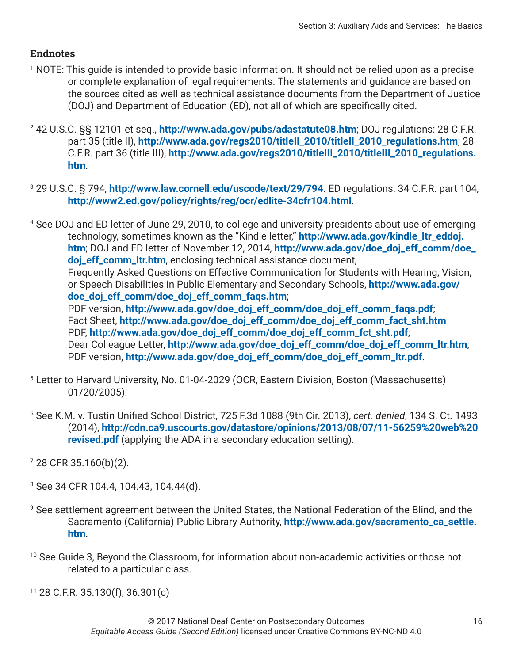#### **Endnotes**

- 1 NOTE: This guide is intended to provide basic information. It should not be relied upon as a precise or complete explanation of legal requirements. The statements and guidance are based on the sources cited as well as technical assistance documents from the Department of Justice (DOJ) and Department of Education (ED), not all of which are specifically cited.
- 2 42 U.S.C. §§ 12101 et seq., **<http://www.ada.gov/pubs/adastatute08.htm>**; DOJ regulations: 28 C.F.R. part 35 (title II), **[http://www.ada.gov/regs2010/titleII\\_2010/titleII\\_2010\\_regulations.htm](http://www.ada.gov/regs2010/titleII_2010/titleII_2010_regulations.htm)**; 28 C.F.R. part 36 (title III), **[http://www.ada.gov/regs2010/titleIII\\_2010/titleIII\\_2010\\_regulations.](http://www.ada.gov/regs2010/titleIII_2010/titleIII_2010_regulations.htm) [htm](http://www.ada.gov/regs2010/titleIII_2010/titleIII_2010_regulations.htm)**.
- 3 29 U.S.C. § 794, **<http://www.law.cornell.edu/uscode/text/29/794>**. ED regulations: 34 C.F.R. part 104, **<http://www2.ed.gov/policy/rights/reg/ocr/edlite-34cfr104.html>**.

4 See DOJ and ED letter of June 29, 2010, to college and university presidents about use of emerging technology, sometimes known as the "Kindle letter," **[http://www.ada.gov/kindle\\_ltr\\_eddoj.](http://www.ada.gov/kindle_ltr_eddoj.htm) [htm](http://www.ada.gov/kindle_ltr_eddoj.htm)**; DOJ and ED letter of November 12, 2014, **[http://www.ada.gov/doe\\_doj\\_eff\\_comm/doe\\_](http://www.ada.gov/doe_doj_eff_comm/doe_doj_eff_comm_ltr.htm) [doj\\_eff\\_comm\\_ltr.htm](http://www.ada.gov/doe_doj_eff_comm/doe_doj_eff_comm_ltr.htm)**, enclosing technical assistance document, Frequently Asked Questions on Effective Communication for Students with Hearing, Vision, or Speech Disabilities in Public Elementary and Secondary Schools, **[http://www.ada.gov/](http://www.ada.gov/doe_doj_eff_comm/doe_doj_eff_comm_faqs.htm) [doe\\_doj\\_eff\\_comm/doe\\_doj\\_eff\\_comm\\_faqs.htm](http://www.ada.gov/doe_doj_eff_comm/doe_doj_eff_comm_faqs.htm)**; PDF version, **[http://www.ada.gov/doe\\_doj\\_eff\\_comm/doe\\_doj\\_eff\\_comm\\_faqs.pdf](http://www.ada.gov/doe_doj_eff_comm/doe_doj_eff_comm_faqs.pdf)**; Fact Sheet, **[http://www.ada.gov/doe\\_doj\\_eff\\_comm/doe\\_doj\\_eff\\_comm\\_fact\\_sht.htm](http://www.ada.gov/doe_doj_eff_comm/doe_doj_eff_comm_fact_sht.htm)** PDF, **[http://www.ada.gov/doe\\_doj\\_eff\\_comm/doe\\_doj\\_eff\\_comm\\_fct\\_sht.pdf](http://www.ada.gov/doe_doj_eff_comm/doe_doj_eff_comm_fct_sht.pdf)**; Dear Colleague Letter, **[http://www.ada.gov/doe\\_doj\\_eff\\_comm/doe\\_doj\\_eff\\_comm\\_ltr.htm](http://www.ada.gov/doe_doj_eff_comm/doe_doj_eff_comm_ltr.htm)**; PDF version, **[http://www.ada.gov/doe\\_doj\\_eff\\_comm/doe\\_doj\\_eff\\_comm\\_ltr.pdf](http://www.ada.gov/doe_doj_eff_comm/doe_doj_eff_comm_ltr.pdf)**.

- 5 Letter to Harvard University, No. 01-04-2029 (OCR, Eastern Division, Boston (Massachusetts) 01/20/2005).
- 6 See K.M. v. Tustin Unified School District, 725 F.3d 1088 (9th Cir. 2013), *cert. denied*, 134 S. Ct. 1493 (2014), **[http://cdn.ca9.uscourts.gov/datastore/opinions/2013/08/07/11-56259%20web%20](http://cdn.ca9.uscourts.gov/datastore/opinions/2013/08/07/11-56259%20web%20revised.pdf) [revised.pdf](http://cdn.ca9.uscourts.gov/datastore/opinions/2013/08/07/11-56259%20web%20revised.pdf)** (applying the ADA in a secondary education setting).

7 28 CFR 35.160(b)(2).

- 8 See 34 CFR 104.4, 104.43, 104.44(d).
- 9 See settlement agreement between the United States, the National Federation of the Blind, and the Sacramento (California) Public Library Authority, **[http://www.ada.gov/sacramento\\_ca\\_settle.](http://www.ada.gov/sacramento_ca_settle.htm) [htm](http://www.ada.gov/sacramento_ca_settle.htm)**.
- <sup>10</sup> See Guide 3, Beyond the Classroom, for information about non-academic activities or those not related to a particular class.

 $11$  28 C.F.R. 35.130(f), 36.301(c)